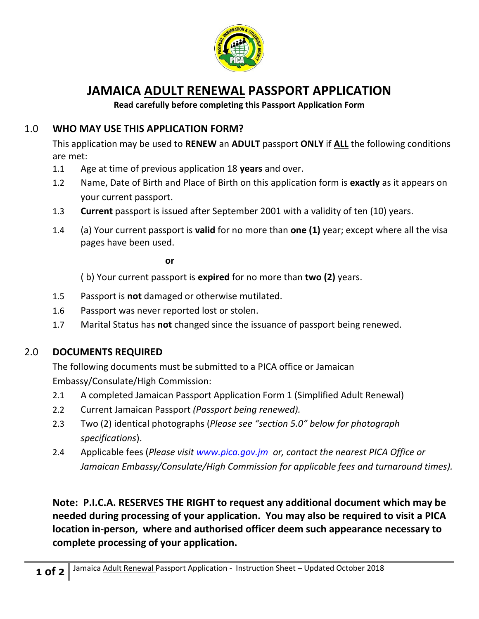

# **JAMAICA ADULT RENEWAL PASSPORT APPLICATION**

**Read carefully before completing this Passport Application Form**

## 1.0 **WHO MAY USE THIS APPLICATION FORM?**

This application may be used to **RENEW** an **ADULT** passport **ONLY** if **ALL** the following conditions are met:

- 1.1 Age at time of previous application 18 **years** and over.
- 1.2 Name, Date of Birth and Place of Birth on this application form is **exactly** as it appears on your current passport.
- 1.3 **Current** passport is issued after September 2001 with a validity of ten (10) years.
- 1.4 (a) Your current passport is **valid** for no more than **one (1)** year; except where all the visa pages have been used.

**or** 

( b) Your current passport is **expired** for no more than **two (2)** years.

- 1.5 Passport is **not** damaged or otherwise mutilated.
- 1.6 Passport was never reported lost or stolen.
- 1.7 Marital Status has **not** changed since the issuance of passport being renewed.

### 2.0 **DOCUMENTS REQUIRED**

The following documents must be submitted to a PICA office or Jamaican Embassy/Consulate/High Commission:

- 2.1 A completed Jamaican Passport Application Form 1 (Simplified Adult Renewal)
- 2.2 Current Jamaican Passport *(Passport being renewed).*
- 2.3 Two (2) identical photographs (*Please see "section 5.0" below for photograph specifications*).
- 2.4 Applicable fees (*Please visit [www.pica.gov.jm](http://www.pica.gov.jm/) or, contact the nearest PICA Office or Jamaican Embassy/Consulate/High Commission for applicable fees and turnaround times).*

**Note: P.I.C.A. RESERVES THE RIGHT to request any additional document which may be needed during processing of your application. You may also be required to visit a PICA location in-person, where and authorised officer deem such appearance necessary to complete processing of your application.**